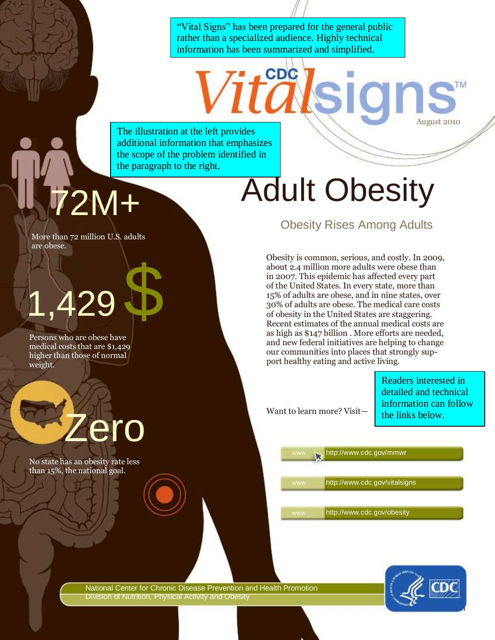"Vital Signs" has been prepared for the general public rather than a specialized audience. Highly technical information has been summarized and simplified.

CDC

as

The illustration at the left provides additional information that emphasizes the scope of the problem identified in the paragraph to the right.

More than 72 million U.S. adults are obese.

## 1,429 \$

Persons who are obese have medical costs that are \$1,429 higher than those of normal weight.

No state has an obesity rate less than 15%, the national goal.

ero

# 72M+ Adult Obesity

Obesity Rises Among Adults

Obesity is common, serious, and costly. In 2009, about 2.4 million more adults were obese than in 2007. This epidemic has affected every part of the United States. In every state, more than 15% of adults are obese, and in nine states, over 30% of adults are obese. The medical care costs of obesity in the United States are staggering. Recent estimates of the annual medical costs are as high as \$147 billion . More efforts are needed, and new federal initiatives are helping to change our communities into places that strongly support healthy eating and active living.

Want to learn more? Visit—

Readers interested in detailed and technical information can follow the links below.

August 2010

http://www.cdc.gov/mmwr

http://www.cdc.gov/vitalsigns

http://www.cdc.gov/obesity

National Center for Chronic Disease Prevention and Health Promotion Division of Nutrition, Physical Activity and Obesity

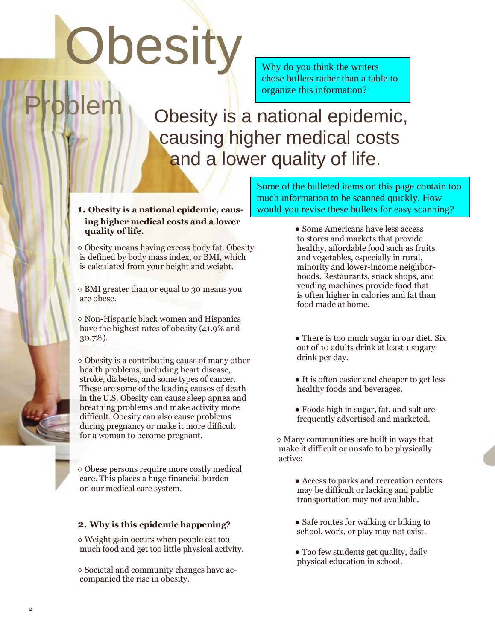# **Obesity**

Problem

Why do you think the writers chose bullets rather than a table to organize this information?

Obesity is a national epidemic, causing higher medical costs and a lower quality of life.

**1. Obesity is a national epidemic, causing higher medical costs and a lower quality of life.**

◊ Obesity means having excess body fat. Obesity is defined by body mass index, or BMI, which is calculated from your height and weight.

◊ BMI greater than or equal to 30 means you are obese.

◊ Non-Hispanic black women and Hispanics have the highest rates of obesity (41.9% and 30.7%).

 $\diamond$  Obesity is a contributing cause of many other health problems, including heart disease, stroke, diabetes, and some types of cancer. These are some of the leading causes of death in the U.S. Obesity can cause sleep apnea and breathing problems and make activity more difficult. Obesity can also cause problems during pregnancy or make it more difficult for a woman to become pregnant.

◊ Obese persons require more costly medical care. This places a huge financial burden on our medical care system.

#### **2. Why is this epidemic happening?**

◊ Weight gain occurs when people eat too much food and get too little physical activity.

◊ Societal and community changes have accompanied the rise in obesity.

Some of the bulleted items on this page contain too much information to be scanned quickly. How would you revise these bullets for easy scanning?

- **●** Some Americans have less access to stores and markets that provide healthy, affordable food such as fruits and vegetables, especially in rural, minority and lower-income neighborhoods. Restaurants, snack shops, and vending machines provide food that is often higher in calories and fat than food made at home.
- **●** There is too much sugar in our diet. Six out of 10 adults drink at least 1 sugary drink per day.
- **●** It is often easier and cheaper to get less healthy foods and beverages.
- **●** Foods high in sugar, fat, and salt are frequently advertised and marketed.

 $\diamond$  Many communities are built in ways that make it difficult or unsafe to be physically active:

> **●** Access to parks and recreation centers may be difficult or lacking and public transportation may not available.

- **●** Safe routes for walking or biking to school, work, or play may not exist.
- **●** Too few students get quality, daily physical education in school.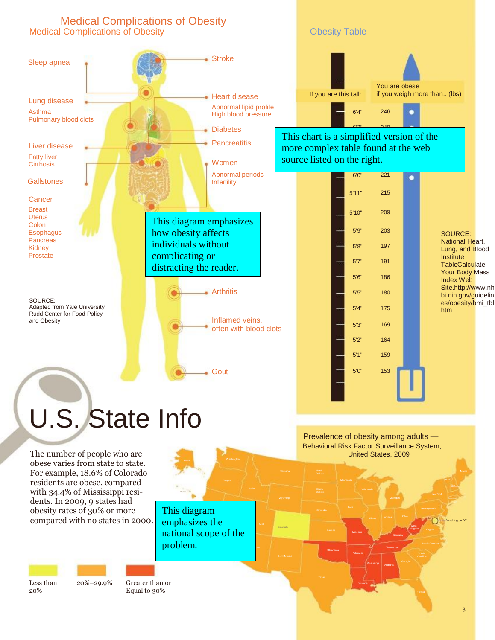

# U.S. State Info

The number of people who are obese varies from state to state. For example, 18.6% of Colorado residents are obese, compared with 34.4% of Mississippi residents. In 2009, 9 states had obesity rates of 30% or more compared with no states in 2000.

Nebraska Nebraska (\* 1918)<br>1905 - Nebraska Nebraska (\* 1919) emphasizes the This diagram national scope of the problem.

*<u>Filteria</u>* 

Hawaii

Alaska Washington

Less than 20%

20%–29.9% Greater than or Equal to 30%

Behavioral Risk Factor Surveillance System, United States, 2009 Prevalence of obesity among adults —

Kansas **Missour** 

Arkansas

**Mississipp** 

Washington DC